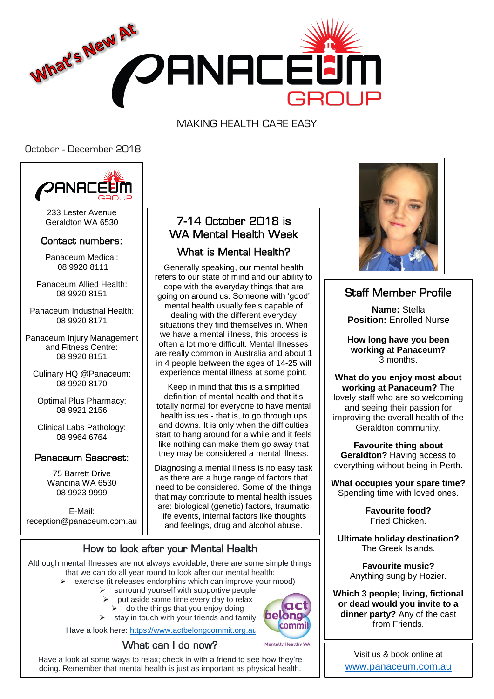

MAKING HEALTH CARE EASY

October - December 2018



233 Lester Avenue Geraldton WA 6530

#### Contact numbers:

Panaceum Medical: 08 9920 8111

Panaceum Allied Health: 08 9920 8151

Panaceum Industrial Health: 08 9920 8171

Panaceum Injury Management and Fitness Centre: 08 9920 8151

Culinary HQ @Panaceum: 08 9920 8170

Optimal Plus Pharmacy: 08 9921 2156

Clinical Labs Pathology: 08 9964 6764

#### Panaceum Seacrest:

75 Barrett Drive Wandina WA 6530 08 9923 9999

E-Mail: reception@panaceum.com.au

# 7-14 October 2018 is WA Mental Health Week

### What is Mental Health?

Generally speaking, our mental health refers to our state of mind and our ability to cope with the everyday things that are going on around us. Someone with 'good' mental health usually feels capable of dealing with the different everyday situations they find themselves in. When we have a mental illness, this process is often a lot more difficult. Mental illnesses are really common in Australia and about 1 in 4 people between the ages of 14-25 will experience mental illness at some point.

Keep in mind that this is a simplified definition of mental health and that it's totally normal for everyone to have mental health issues - that is, to go through ups and downs. It is only when the difficulties start to hang around for a while and it feels like nothing can make them go away that they may be considered a mental illness.

Diagnosing a mental illness is no easy task as there are a huge range of factors that need to be considered. Some of the things that may contribute to mental health issues are: biological (genetic) factors, traumatic life events, internal factors like thoughts and feelings, drug and alcohol abuse.

#### How to look after your Mental Health

Although mental illnesses are not always avoidable, there are some simple things that we can do all year round to look after our mental health:

- $\triangleright$  exercise (it releases endorphins which can improve your mood)
	- $\triangleright$  surround yourself with supportive people
		- put aside some time every day to relax
		- $\geq$  do the things that you enjoy doing
		- $\triangleright$  stay in touch with your friends and family

Have a look here:<https://www.actbelongcommit.org.au/>





Have a look at some ways to relax; check in with a friend to see how they're doing. Remember that mental health is just as important as physical health.



## Staff Member Profile

**Name:** Stella **Position:** Enrolled Nurse

**How long have you been working at Panaceum?** 3 months.

**What do you enjoy most about working at Panaceum?** The lovely staff who are so welcoming and seeing their passion for improving the overall health of the Geraldton community.

**Favourite thing about Geraldton?** Having access to everything without being in Perth.

**What occupies your spare time?** Spending time with loved ones.

> **Favourite food?** Fried Chicken.

**Ultimate holiday destination?**  The Greek Islands.

> **Favourite music?**  Anything sung by Hozier.

**Which 3 people; living, fictional or dead would you invite to a dinner party?** Any of the cast from Friends.